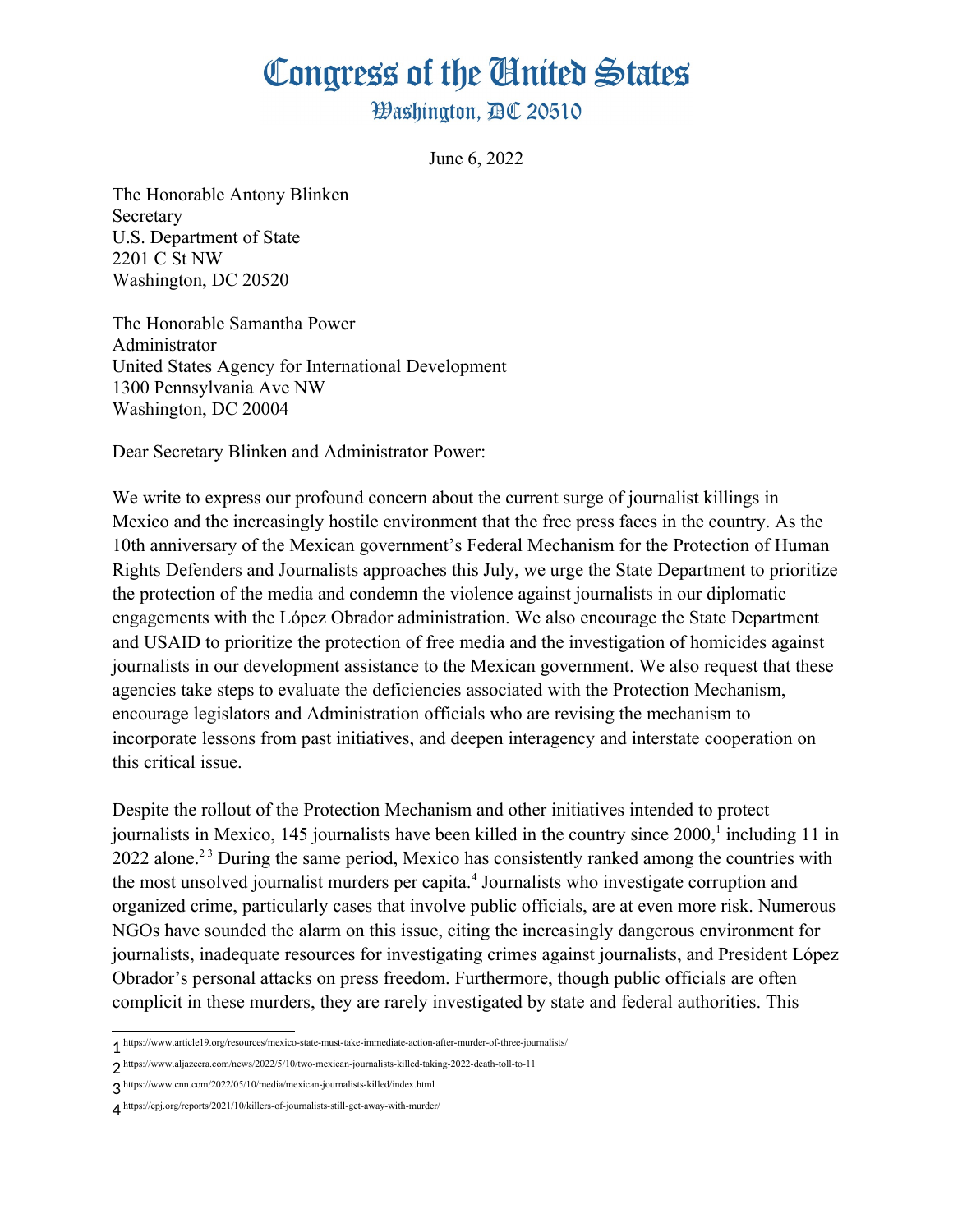## Congress of the Ginited States

**Washington, AC 20510** 

June 6, 2022

The Honorable Antony Blinken Secretary U.S. Department of State 2201 C St NW Washington, DC 20520

The Honorable Samantha Power Administrator United States Agency for International Development 1300 Pennsylvania Ave NW Washington, DC 20004

Dear Secretary Blinken and Administrator Power:

We write to express our profound concern about the current surge of journalist killings in Mexico and the increasingly hostile environment that the free press faces in the country. As the 10th anniversary of the Mexican government's Federal Mechanism for the Protection of Human Rights Defenders and Journalists approaches this July, we urge the State Department to prioritize the protection of the media and condemn the violence against journalists in our diplomatic engagements with the López Obrador administration. We also encourage the State Department and USAID to prioritize the protection of free media and the investigation of homicides against journalists in our development assistance to the Mexican government. We also request that these agencies take steps to evaluate the deficiencies associated with the Protection Mechanism, encourage legislators and Administration officials who are revising the mechanism to incorporate lessons from past initiatives, and deepen interagency and interstate cooperation on this critical issue.

<span id="page-0-6"></span><span id="page-0-4"></span><span id="page-0-2"></span><span id="page-0-0"></span>Despite the rollout of the Protection Mechanism and other initiatives intended to protect iournalists in Mexico, [1](#page-0-1)45 journalists have been killed in the country since  $2000<sup>1</sup>$  including 11 in [2](#page-0-3)022 alone.<sup>2[3](#page-0-5)</sup> During the same period. Mexico has consistently ranked among the countries with the most unsolved iournalist murders per capita.<sup>[4](#page-0-7)</sup> Journalists who investigate corruption and organized crime, particularly cases that involve public officials, are at even more risk. Numerous NGOs have sounded the alarm on this issue, citing the increasingly dangerous environment for journalists, inadequate resources for investigating crimes against journalists, and President López Obrador's personal attacks on press freedom. Furthermore, though public officials are often complicit in these murders, they are rarely investigated by state and federal authorities. This

<span id="page-0-1"></span>[<sup>1</sup>](#page-0-0) https://www.article19.org/resources/mexico-state-must-take-immediate-action-after-murder-of-three-journalists/

<span id="page-0-3"></span>[<sup>2</sup>](#page-0-2) https://www.aljazeera.com/news/2022/5/10/two-mexican-journalists-killed-taking-2022-death-toll-to-11

<span id="page-0-5"></span>[<sup>3</sup>](#page-0-4) https://www.cnn.com/2022/05/10/media/mexican-journalists-killed/index.html

<span id="page-0-7"></span>[<sup>4</sup>](#page-0-6) https://cpj.org/reports/2021/10/killers-of-journalists-still-get-away-with-murder/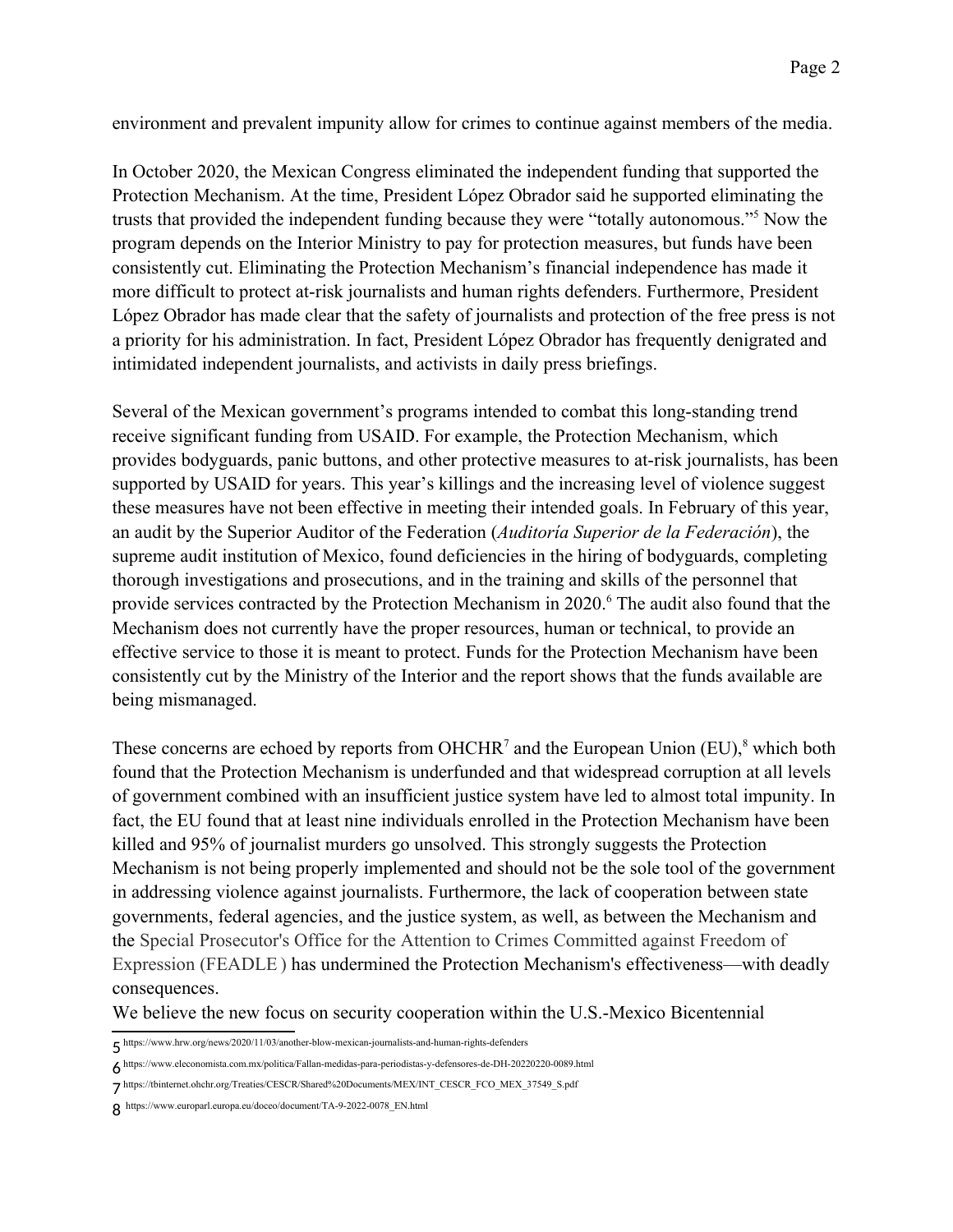environment and prevalent impunity allow for crimes to continue against members of the media.

<span id="page-1-0"></span>In October 2020, the Mexican Congress eliminated the independent funding that supported the Protection Mechanism. At the time, President López Obrador said he supported eliminating the trusts that provided the independent funding because they were "totally autonomous."<sup>[5](#page-1-1)</sup> Now the program depends on the Interior Ministry to pay for protection measures, but funds have been consistently cut. Eliminating the Protection Mechanism's financial independence has made it more difficult to protect at-risk journalists and human rights defenders. Furthermore, President López Obrador has made clear that the safety of journalists and protection of the free press is not a priority for his administration. In fact, President López Obrador has frequently denigrated and intimidated independent journalists, and activists in daily press briefings.

Several of the Mexican government's programs intended to combat this long-standing trend receive significant funding from USAID. For example, the Protection Mechanism, which provides bodyguards, panic buttons, and other protective measures to at-risk journalists, has been supported by USAID for years. This year's killings and the increasing level of violence suggest these measures have not been effective in meeting their intended goals. In February of this year, an audit by the Superior Auditor of the Federation (*Auditoría Superior de la Federaciόn*), the supreme audit institution of Mexico, found deficiencies in the hiring of bodyguards, completing thorough investigations and prosecutions, and in the training and skills of the personnel that provide services contracted by the Protection Mechanism in 2020.<sup>[6](#page-1-3)</sup> The audit also found that the Mechanism does not currently have the proper resources, human or technical, to provide an effective service to those it is meant to protect. Funds for the Protection Mechanism have been consistently cut by the Ministry of the Interior and the report shows that the funds available are being mismanaged.

<span id="page-1-6"></span><span id="page-1-4"></span><span id="page-1-2"></span>These concerns are echoed by reports from OHCHR<sup>[7](#page-1-5)</sup> and the European Union (EU),<sup>[8](#page-1-7)</sup> which both found that the Protection Mechanism is underfunded and that widespread corruption at all levels of government combined with an insufficient justice system have led to almost total impunity. In fact, the EU found that at least nine individuals enrolled in the Protection Mechanism have been killed and 95% of journalist murders go unsolved. This strongly suggests the Protection Mechanism is not being properly implemented and should not be the sole tool of the government in addressing violence against journalists. Furthermore, the lack of cooperation between state governments, federal agencies, and the justice system, as well, as between the Mechanism and the Special Prosecutor's Office for the Attention to Crimes Committed against Freedom of Expression (FEADLE ) has undermined the Protection Mechanism's effectiveness—with deadly consequences.

We believe the new focus on security cooperation within the U.S.-Mexico Bicentennial

<span id="page-1-1"></span>[<sup>5</sup>](#page-1-0) https://www.hrw.org/news/2020/11/03/another-blow-mexican-journalists-and-human-rights-defenders

<span id="page-1-3"></span>[<sup>6</sup>](#page-1-2) https://www.eleconomista.com.mx/politica/Fallan-medidas-para-periodistas-y-defensores-de-DH-20220220-0089.html

<span id="page-1-5"></span>[<sup>7</sup>](#page-1-4) https://tbinternet.ohchr.org/Treaties/CESCR/Shared%20Documents/MEX/INT\_CESCR\_FCO\_MEX\_37549\_S.pdf

<span id="page-1-7"></span>[<sup>8</sup>](#page-1-6) https://www.europarl.europa.eu/doceo/document/TA-9-2022-0078\_EN.html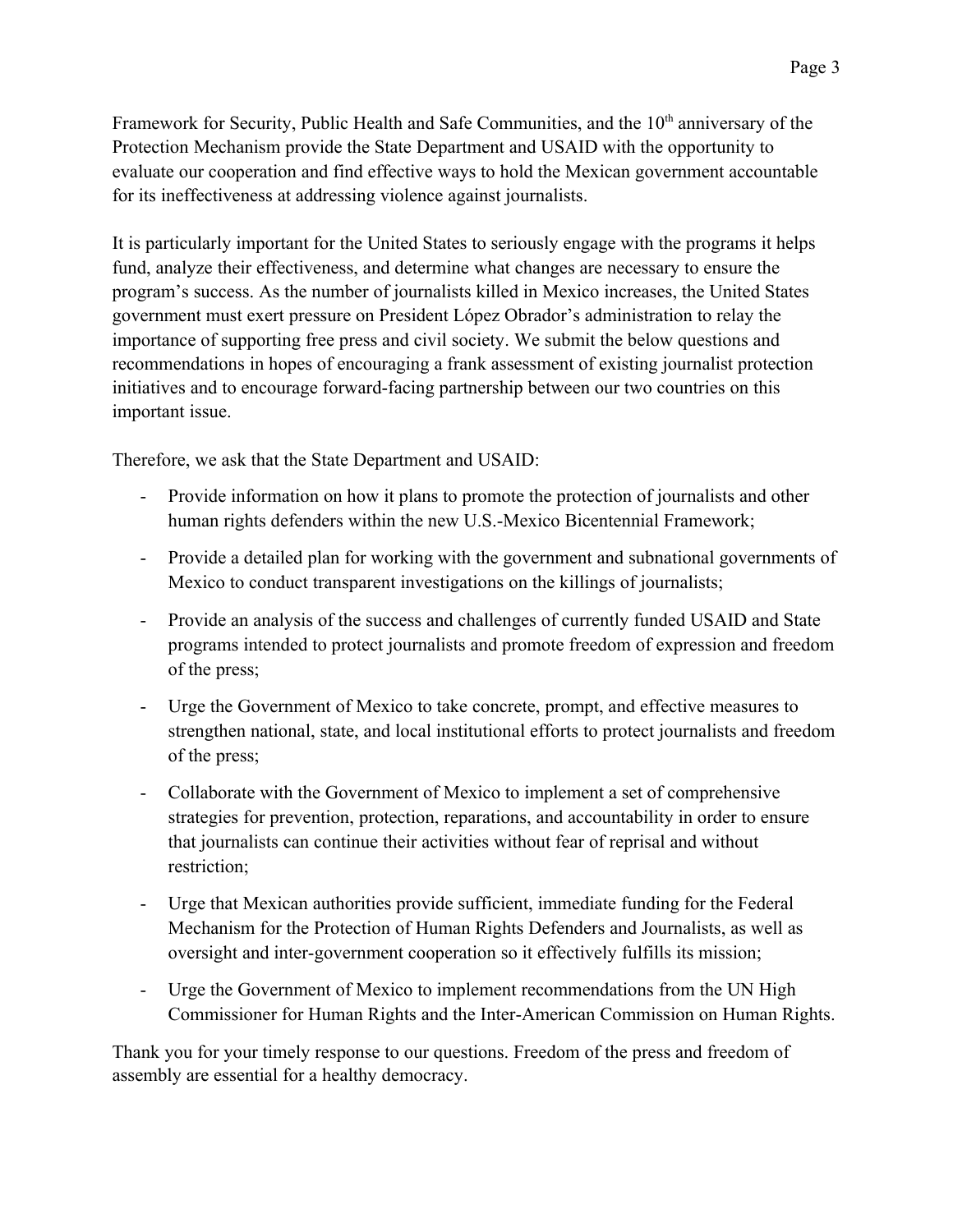Framework for Security, Public Health and Safe Communities, and the  $10<sup>th</sup>$  anniversary of the Protection Mechanism provide the State Department and USAID with the opportunity to evaluate our cooperation and find effective ways to hold the Mexican government accountable for its ineffectiveness at addressing violence against journalists.

It is particularly important for the United States to seriously engage with the programs it helps fund, analyze their effectiveness, and determine what changes are necessary to ensure the program's success. As the number of journalists killed in Mexico increases, the United States government must exert pressure on President López Obrador's administration to relay the importance of supporting free press and civil society. We submit the below questions and recommendations in hopes of encouraging a frank assessment of existing journalist protection initiatives and to encourage forward-facing partnership between our two countries on this important issue.

Therefore, we ask that the State Department and USAID:

- Provide information on how it plans to promote the protection of journalists and other human rights defenders within the new U.S.-Mexico Bicentennial Framework;
- Provide a detailed plan for working with the government and subnational governments of Mexico to conduct transparent investigations on the killings of journalists;
- Provide an analysis of the success and challenges of currently funded USAID and State programs intended to protect journalists and promote freedom of expression and freedom of the press;
- Urge the Government of Mexico to take concrete, prompt, and effective measures to strengthen national, state, and local institutional efforts to protect journalists and freedom of the press;
- Collaborate with the Government of Mexico to implement a set of comprehensive strategies for prevention, protection, reparations, and accountability in order to ensure that journalists can continue their activities without fear of reprisal and without restriction;
- Urge that Mexican authorities provide sufficient, immediate funding for the Federal Mechanism for the Protection of Human Rights Defenders and Journalists, as well as oversight and inter-government cooperation so it effectively fulfills its mission;
- Urge the Government of Mexico to implement recommendations from the UN High Commissioner for Human Rights and the Inter-American Commission on Human Rights.

Thank you for your timely response to our questions. Freedom of the press and freedom of assembly are essential for a healthy democracy.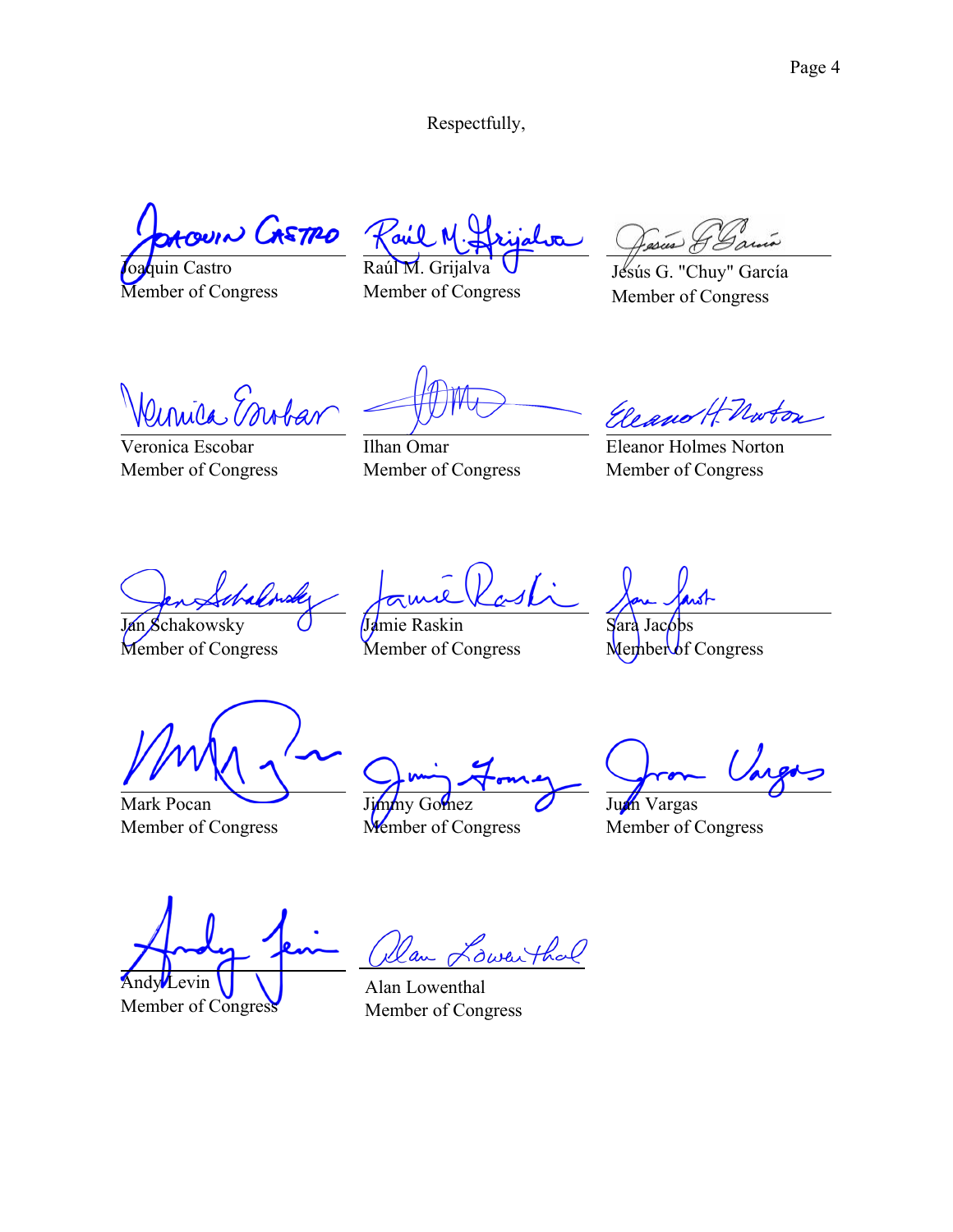Respectfully,

Aroun LASTRO

oaquin Castro Member of Congress

Raúl M. Grijalva

Member of Congress

Jesús G. "Chuy" García Member of Congress

Kenica Erobar

Veronica Escobar Member of Congress

Ilhan Omar Member of Congress

Eleanor Holmes Norton Member of Congress

Jan Schakowsky Member of Congress

Jamie Raskin

Member of Congress

Sara  $M$ ember of Congress

Mark Pocan Member of Congress

Jimmy Gomez Member of Congress

Juan Vargas Member of Congress

Andy Levin Member of Congress

an Lowenthal Alan Lowenthal

Member of Congress